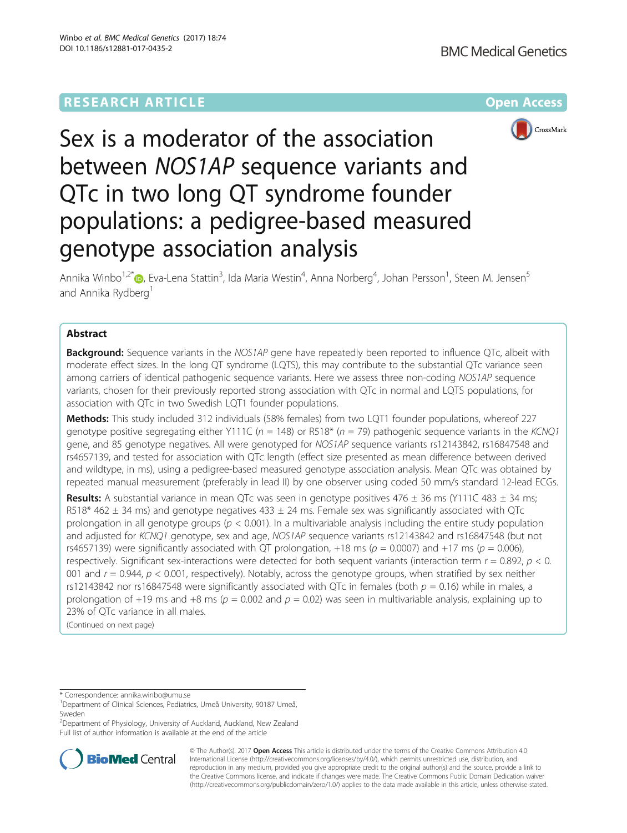# **RESEARCH ARTICLE Example 2014 12:30 The Company Access** (RESEARCH ARTICLE



# Sex is a moderator of the association between NOS1AP sequence variants and QTc in two long QT syndrome founder populations: a pedigree-based measured genotype association analysis

Annika Winbo<sup>1,2\*</sup>®, Eva-Lena Stattin<sup>3</sup>, Ida Maria Westin<sup>4</sup>, Anna Norberg<sup>4</sup>, Johan Persson<sup>1</sup>, Steen M. Jensen<sup>5</sup> and Annika Rydberg<sup>1</sup>

# Abstract

**Background:** Sequence variants in the NOS1AP gene have repeatedly been reported to influence QTc, albeit with moderate effect sizes. In the long QT syndrome (LQTS), this may contribute to the substantial QTc variance seen among carriers of identical pathogenic sequence variants. Here we assess three non-coding NOS1AP sequence variants, chosen for their previously reported strong association with QTc in normal and LQTS populations, for association with QTc in two Swedish LQT1 founder populations.

Methods: This study included 312 individuals (58% females) from two LQT1 founder populations, whereof 227 genotype positive segregating either Y111C ( $n = 148$ ) or R518\* ( $n = 79$ ) pathogenic seguence variants in the KCNQ1 gene, and 85 genotype negatives. All were genotyped for NOS1AP sequence variants rs12143842, rs16847548 and rs4657139, and tested for association with QTc length (effect size presented as mean difference between derived and wildtype, in ms), using a pedigree-based measured genotype association analysis. Mean QTc was obtained by repeated manual measurement (preferably in lead II) by one observer using coded 50 mm/s standard 12-lead ECGs.

**Results:** A substantial variance in mean QTc was seen in genotype positives 476  $\pm$  36 ms (Y111C 483  $\pm$  34 ms; R518\* 462  $\pm$  34 ms) and genotype negatives 433  $\pm$  24 ms. Female sex was significantly associated with QTc prolongation in all genotype groups ( $p < 0.001$ ). In a multivariable analysis including the entire study population and adjusted for KCNQ1 genotype, sex and age, NOS1AP sequence variants rs12143842 and rs16847548 (but not rs4657139) were significantly associated with QT prolongation, +18 ms ( $p = 0.0007$ ) and +17 ms ( $p = 0.006$ ), respectively. Significant sex-interactions were detected for both sequent variants (interaction term  $r = 0.892$ ,  $p < 0$ . 001 and  $r = 0.944$ ,  $p < 0.001$ , respectively). Notably, across the genotype groups, when stratified by sex neither rs12143842 nor rs16847548 were significantly associated with QTc in females (both  $p = 0.16$ ) while in males, a prolongation of +19 ms and +8 ms ( $p = 0.002$  and  $p = 0.02$ ) was seen in multivariable analysis, explaining up to 23% of QTc variance in all males.

(Continued on next page)

<sup>2</sup>Department of Physiology, University of Auckland, Auckland, New Zealand Full list of author information is available at the end of the article



© The Author(s). 2017 **Open Access** This article is distributed under the terms of the Creative Commons Attribution 4.0 International License [\(http://creativecommons.org/licenses/by/4.0/](http://creativecommons.org/licenses/by/4.0/)), which permits unrestricted use, distribution, and reproduction in any medium, provided you give appropriate credit to the original author(s) and the source, provide a link to the Creative Commons license, and indicate if changes were made. The Creative Commons Public Domain Dedication waiver [\(http://creativecommons.org/publicdomain/zero/1.0/](http://creativecommons.org/publicdomain/zero/1.0/)) applies to the data made available in this article, unless otherwise stated.

<sup>\*</sup> Correspondence: [annika.winbo@umu.se](mailto:annika.winbo@umu.se) <sup>1</sup>

<sup>&</sup>lt;sup>1</sup>Department of Clinical Sciences, Pediatrics, Umeå University, 90187 Umeå, Sweden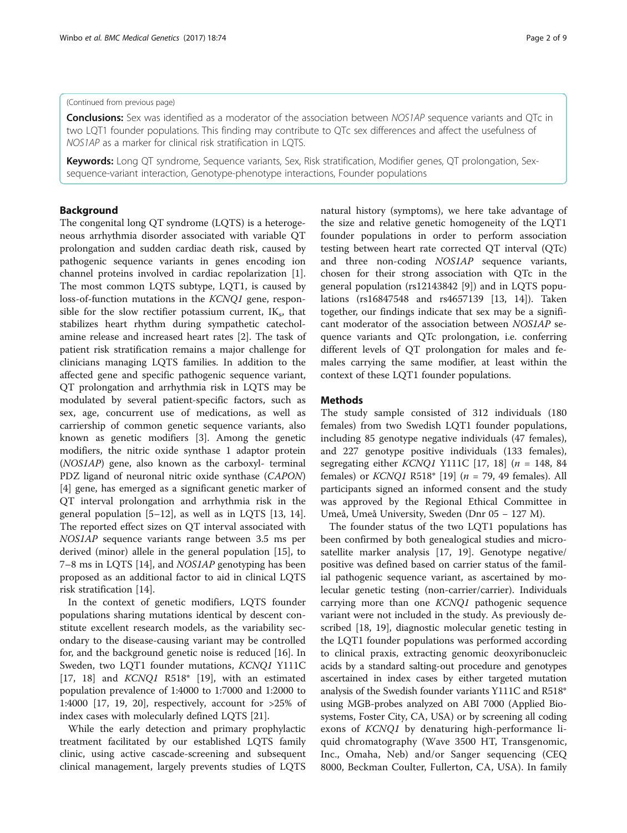#### (Continued from previous page)

**Conclusions:** Sex was identified as a moderator of the association between NOS1AP sequence variants and QTc in two LQT1 founder populations. This finding may contribute to QTc sex differences and affect the usefulness of NOS1AP as a marker for clinical risk stratification in LQTS.

Keywords: Long QT syndrome, Sequence variants, Sex, Risk stratification, Modifier genes, QT prolongation, Sexsequence-variant interaction, Genotype-phenotype interactions, Founder populations

# Background

The congenital long QT syndrome (LQTS) is a heterogeneous arrhythmia disorder associated with variable QT prolongation and sudden cardiac death risk, caused by pathogenic sequence variants in genes encoding ion channel proteins involved in cardiac repolarization [\[1](#page-7-0)]. The most common LQTS subtype, LQT1, is caused by loss-of-function mutations in the KCNQ1 gene, responsible for the slow rectifier potassium current,  $IK_s$ , that stabilizes heart rhythm during sympathetic catecholamine release and increased heart rates [[2\]](#page-7-0). The task of patient risk stratification remains a major challenge for clinicians managing LQTS families. In addition to the affected gene and specific pathogenic sequence variant, QT prolongation and arrhythmia risk in LQTS may be modulated by several patient-specific factors, such as sex, age, concurrent use of medications, as well as carriership of common genetic sequence variants, also known as genetic modifiers [[3\]](#page-7-0). Among the genetic modifiers, the nitric oxide synthase 1 adaptor protein (NOS1AP) gene, also known as the carboxyl- terminal PDZ ligand of neuronal nitric oxide synthase (CAPON) [[4\]](#page-7-0) gene, has emerged as a significant genetic marker of QT interval prolongation and arrhythmia risk in the general population [\[5](#page-7-0)–[12\]](#page-7-0), as well as in LQTS [[13](#page-7-0), [14](#page-7-0)]. The reported effect sizes on QT interval associated with NOS1AP sequence variants range between 3.5 ms per derived (minor) allele in the general population [\[15](#page-7-0)], to 7–8 ms in LQTS [[14\]](#page-7-0), and NOS1AP genotyping has been proposed as an additional factor to aid in clinical LQTS risk stratification [[14\]](#page-7-0).

In the context of genetic modifiers, LQTS founder populations sharing mutations identical by descent constitute excellent research models, as the variability secondary to the disease-causing variant may be controlled for, and the background genetic noise is reduced [[16](#page-7-0)]. In Sweden, two LQT1 founder mutations, KCNQ1 Y111C [[17, 18\]](#page-7-0) and *KCNQ1* R518<sup>\*</sup> [\[19\]](#page-7-0), with an estimated population prevalence of 1:4000 to 1:7000 and 1:2000 to 1:4000 [[17, 19, 20\]](#page-7-0), respectively, account for >25% of index cases with molecularly defined LQTS [[21\]](#page-7-0).

While the early detection and primary prophylactic treatment facilitated by our established LQTS family clinic, using active cascade-screening and subsequent clinical management, largely prevents studies of LQTS

natural history (symptoms), we here take advantage of the size and relative genetic homogeneity of the LQT1 founder populations in order to perform association testing between heart rate corrected QT interval (QTc) and three non-coding NOS1AP sequence variants, chosen for their strong association with QTc in the general population (rs12143842 [[9\]](#page-7-0)) and in LQTS populations (rs16847548 and rs4657139 [[13](#page-7-0), [14](#page-7-0)]). Taken together, our findings indicate that sex may be a significant moderator of the association between NOS1AP sequence variants and QTc prolongation, i.e. conferring different levels of QT prolongation for males and females carrying the same modifier, at least within the context of these LQT1 founder populations.

#### Methods

The study sample consisted of 312 individuals (180 females) from two Swedish LQT1 founder populations, including 85 genotype negative individuals (47 females), and 227 genotype positive individuals (133 females), segregating either *KCNQ1* Y111C [[17, 18\]](#page-7-0) ( $n = 148, 84$ ) females) or  $KCNQ1$  R518\* [[19\]](#page-7-0) ( $n = 79$ , 49 females). All participants signed an informed consent and the study was approved by the Regional Ethical Committee in Umeå, Umeå University, Sweden (Dnr 05 − 127 M).

The founder status of the two LQT1 populations has been confirmed by both genealogical studies and microsatellite marker analysis [\[17, 19\]](#page-7-0). Genotype negative/ positive was defined based on carrier status of the familial pathogenic sequence variant, as ascertained by molecular genetic testing (non-carrier/carrier). Individuals carrying more than one KCNQ1 pathogenic sequence variant were not included in the study. As previously described [\[18, 19\]](#page-7-0), diagnostic molecular genetic testing in the LQT1 founder populations was performed according to clinical praxis, extracting genomic deoxyribonucleic acids by a standard salting-out procedure and genotypes ascertained in index cases by either targeted mutation analysis of the Swedish founder variants Y111C and R518\* using MGB-probes analyzed on ABI 7000 (Applied Biosystems, Foster City, CA, USA) or by screening all coding exons of KCNQ1 by denaturing high-performance liquid chromatography (Wave 3500 HT, Transgenomic, Inc., Omaha, Neb) and/or Sanger sequencing (CEQ 8000, Beckman Coulter, Fullerton, CA, USA). In family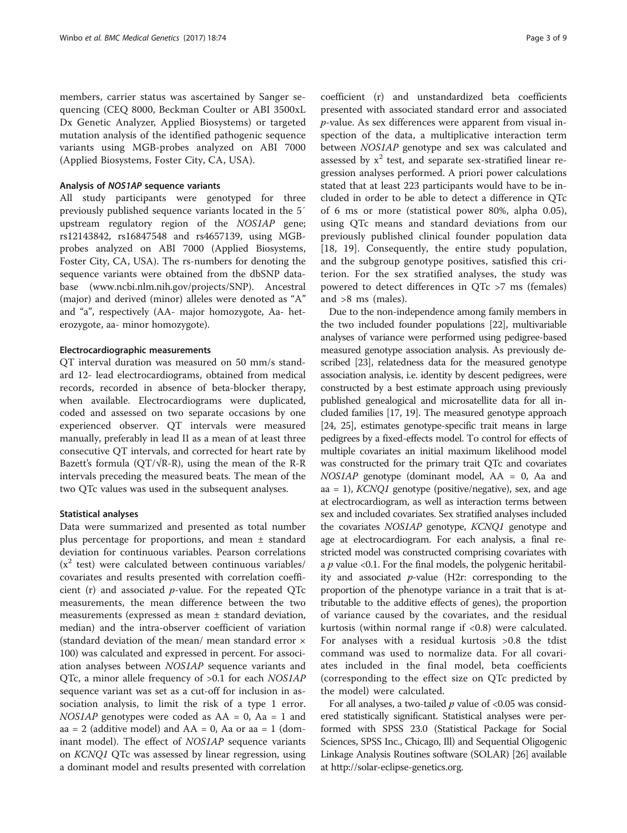members, carrier status was ascertained by Sanger sequencing (CEQ 8000, Beckman Coulter or ABI 3500xL Dx Genetic Analyzer, Applied Biosystems) or targeted mutation analysis of the identified pathogenic sequence variants using MGB-probes analyzed on ABI 7000 (Applied Biosystems, Foster City, CA, USA).

#### Analysis of NOS1AP sequence variants

All study participants were genotyped for three previously published sequence variants located in the 5′ upstream regulatory region of the NOS1AP gene; rs12143842, rs16847548 and rs4657139, using MGBprobes analyzed on ABI 7000 (Applied Biosystems, Foster City, CA, USA). The rs-numbers for denoting the sequence variants were obtained from the dbSNP database [\(www.ncbi.nlm.nih.gov/projects/SNP](http://www.ncbi.nlm.nih.gov/projects/SNP)). Ancestral (major) and derived (minor) alleles were denoted as "A" and "a", respectively (AA- major homozygote, Aa- heterozygote, aa- minor homozygote).

# Electrocardiographic measurements

QT interval duration was measured on 50 mm/s standard 12- lead electrocardiograms, obtained from medical records, recorded in absence of beta-blocker therapy, when available. Electrocardiograms were duplicated, coded and assessed on two separate occasions by one experienced observer. QT intervals were measured manually, preferably in lead II as a mean of at least three consecutive QT intervals, and corrected for heart rate by Bazett's formula ( $QT/\sqrt{R-R}$ ), using the mean of the R-R intervals preceding the measured beats. The mean of the two QTc values was used in the subsequent analyses.

#### Statistical analyses

Data were summarized and presented as total number plus percentage for proportions, and mean ± standard deviation for continuous variables. Pearson correlations  $(x<sup>2</sup>$  test) were calculated between continuous variables/ covariates and results presented with correlation coefficient (r) and associated  $p$ -value. For the repeated QTc measurements, the mean difference between the two measurements (expressed as mean ± standard deviation, median) and the intra-observer coefficient of variation (standard deviation of the mean/ mean standard error × 100) was calculated and expressed in percent. For association analyses between NOS1AP sequence variants and QTc, a minor allele frequency of >0.1 for each NOS1AP sequence variant was set as a cut-off for inclusion in association analysis, to limit the risk of a type 1 error.  $NOSIAP$  genotypes were coded as  $AA = 0$ ,  $Aa = 1$  and aa = 2 (additive model) and  $AA = 0$ , Aa or aa = 1 (dominant model). The effect of NOS1AP sequence variants on KCNQ1 QTc was assessed by linear regression, using a dominant model and results presented with correlation

coefficient (r) and unstandardized beta coefficients presented with associated standard error and associated p-value. As sex differences were apparent from visual inspection of the data, a multiplicative interaction term between NOS1AP genotype and sex was calculated and assessed by  $x^2$  test, and separate sex-stratified linear regression analyses performed. A priori power calculations stated that at least 223 participants would have to be included in order to be able to detect a difference in QTc of 6 ms or more (statistical power 80%, alpha 0.05), using QTc means and standard deviations from our previously published clinical founder population data [[18, 19](#page-7-0)]. Consequently, the entire study population, and the subgroup genotype positives, satisfied this criterion. For the sex stratified analyses, the study was powered to detect differences in QTc >7 ms (females) and >8 ms (males).

Due to the non-independence among family members in the two included founder populations [\[22\]](#page-7-0), multivariable analyses of variance were performed using pedigree-based measured genotype association analysis. As previously described [\[23\]](#page-7-0), relatedness data for the measured genotype association analysis, i.e. identity by descent pedigrees, were constructed by a best estimate approach using previously published genealogical and microsatellite data for all included families [\[17, 19\]](#page-7-0). The measured genotype approach [[24](#page-7-0), [25](#page-7-0)], estimates genotype-specific trait means in large pedigrees by a fixed-effects model. To control for effects of multiple covariates an initial maximum likelihood model was constructed for the primary trait QTc and covariates NOS1AP genotype (dominant model, AA = 0, Aa and aa = 1),  $KCNQ1$  genotype (positive/negative), sex, and age at electrocardiogram, as well as interaction terms between sex and included covariates. Sex stratified analyses included the covariates NOS1AP genotype, KCNQ1 genotype and age at electrocardiogram. For each analysis, a final restricted model was constructed comprising covariates with a  $p$  value <0.1. For the final models, the polygenic heritability and associated  $p$ -value (H2r: corresponding to the proportion of the phenotype variance in a trait that is attributable to the additive effects of genes), the proportion of variance caused by the covariates, and the residual kurtosis (within normal range if <0.8) were calculated. For analyses with a residual kurtosis >0.8 the tdist command was used to normalize data. For all covariates included in the final model, beta coefficients (corresponding to the effect size on QTc predicted by the model) were calculated.

For all analyses, a two-tailed  $p$  value of <0.05 was considered statistically significant. Statistical analyses were performed with SPSS 23.0 (Statistical Package for Social Sciences, SPSS Inc., Chicago, Ill) and Sequential Oligogenic Linkage Analysis Routines software (SOLAR) [[26](#page-7-0)] available at<http://solar-eclipse-genetics.org>.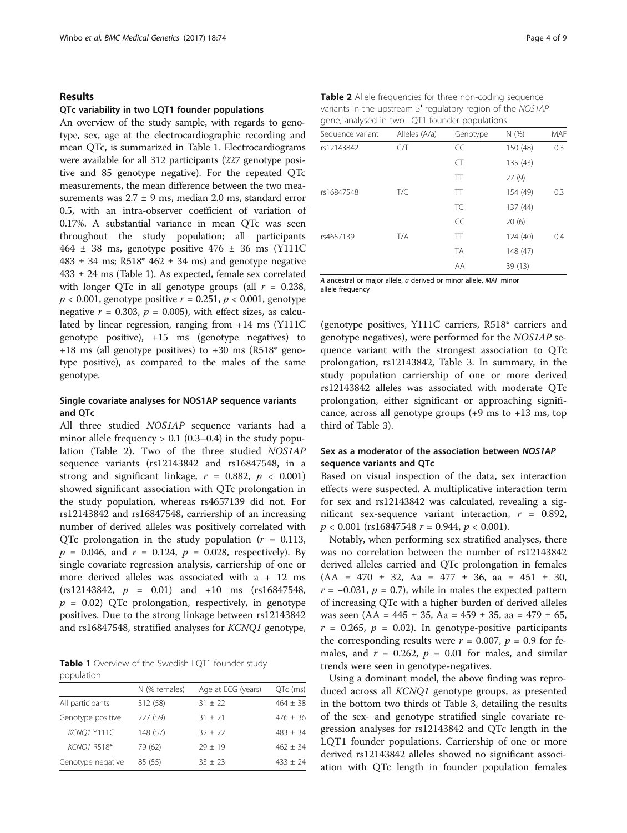#### Results

#### QTc variability in two LQT1 founder populations

An overview of the study sample, with regards to genotype, sex, age at the electrocardiographic recording and mean QTc, is summarized in Table 1. Electrocardiograms were available for all 312 participants (227 genotype positive and 85 genotype negative). For the repeated QTc measurements, the mean difference between the two measurements was  $2.7 \pm 9$  ms, median 2.0 ms, standard error 0.5, with an intra-observer coefficient of variation of 0.17%. A substantial variance in mean QTc was seen throughout the study population; all participants  $464 \pm 38$  ms, genotype positive  $476 \pm 36$  ms (Y111C  $483 \pm 34$  ms; R518\*  $462 \pm 34$  ms) and genotype negative 433 ± 24 ms (Table 1). As expected, female sex correlated with longer QTc in all genotype groups (all  $r = 0.238$ ,  $p < 0.001$ , genotype positive  $r = 0.251$ ,  $p < 0.001$ , genotype negative  $r = 0.303$ ,  $p = 0.005$ ), with effect sizes, as calculated by linear regression, ranging from +14 ms (Y111C genotype positive), +15 ms (genotype negatives) to  $+18$  ms (all genotype positives) to  $+30$  ms (R518\* genotype positive), as compared to the males of the same genotype.

# Single covariate analyses for NOS1AP sequence variants and QTc

All three studied NOS1AP sequence variants had a minor allele frequency  $> 0.1$  (0.3–0.4) in the study population (Table 2). Two of the three studied NOS1AP sequence variants (rs12143842 and rs16847548, in a strong and significant linkage,  $r = 0.882$ ,  $p < 0.001$ ) showed significant association with QTc prolongation in the study population, whereas rs4657139 did not. For rs12143842 and rs16847548, carriership of an increasing number of derived alleles was positively correlated with QTc prolongation in the study population ( $r = 0.113$ ,  $p = 0.046$ , and  $r = 0.124$ ,  $p = 0.028$ , respectively). By single covariate regression analysis, carriership of one or more derived alleles was associated with a + 12 ms  $(rs12143842, p = 0.01)$  and  $+10$  ms  $(rs16847548,$  $p = 0.02$ ) QTc prolongation, respectively, in genotype positives. Due to the strong linkage between rs12143842 and rs16847548, stratified analyses for KCNQ1 genotype,

Table 1 Overview of the Swedish LQT1 founder study population

|                   | N (% females) | Age at ECG (years) | QTc (ms)     |
|-------------------|---------------|--------------------|--------------|
| All participants  | 312 (58)      | $31 \pm 22$        | $464 \pm 38$ |
| Genotype positive | 227 (59)      | $31 + 21$          | $476 + 36$   |
| KCNQ1 Y111C       | 148 (57)      | $32 + 22$          | $483 + 34$   |
| KCNQ1 R518*       | 79 (62)       | $79 + 19$          | $462 + 34$   |
| Genotype negative | 85 (55)       | $33 \pm 23$        | $433 \pm 24$ |
|                   |               |                    |              |

| Table 2 Allele frequencies for three non-coding sequence    |
|-------------------------------------------------------------|
| variants in the upstream 5' regulatory region of the NOS1AP |
| gene, analysed in two LQT1 founder populations              |

| Sequence variant | Alleles (A/a) | Genotype  | N(%      | <b>MAF</b> |
|------------------|---------------|-----------|----------|------------|
| rs12143842       | CЛ            | CC        | 150 (48) | 0.3        |
|                  |               | CT        | 135 (43) |            |
|                  |               | TT        | 27(9)    |            |
| rs16847548       | T/C           | π         | 154 (49) | 0.3        |
|                  |               | TC.       | 137 (44) |            |
|                  |               | CC        | 20(6)    |            |
| rs4657139        | T/A           | TT        | 124 (40) | 0.4        |
|                  |               | <b>TA</b> | 148 (47) |            |
|                  |               | AA        | 39 (13)  |            |

A ancestral or major allele, a derived or minor allele, MAF minor allele frequency

(genotype positives, Y111C carriers, R518\* carriers and genotype negatives), were performed for the NOS1AP sequence variant with the strongest association to QTc prolongation, rs12143842, Table [3](#page-4-0). In summary, in the study population carriership of one or more derived rs12143842 alleles was associated with moderate QTc prolongation, either significant or approaching significance, across all genotype groups  $(+9 \text{ ms to } +13 \text{ ms}, \text{top})$ third of Table [3](#page-4-0)).

# Sex as a moderator of the association between NOS1AP sequence variants and QTc

Based on visual inspection of the data, sex interaction effects were suspected. A multiplicative interaction term for sex and rs12143842 was calculated, revealing a significant sex-sequence variant interaction,  $r = 0.892$ ,  $p < 0.001$  (rs16847548  $r = 0.944$ ,  $p < 0.001$ ).

Notably, when performing sex stratified analyses, there was no correlation between the number of rs12143842 derived alleles carried and QTc prolongation in females  $(AA = 470 \pm 32, Aa = 477 \pm 36, aa = 451 \pm 30,$  $r = -0.031$ ,  $p = 0.7$ ), while in males the expected pattern of increasing QTc with a higher burden of derived alleles was seen (AA =  $445 \pm 35$ , Aa =  $459 \pm 35$ , aa =  $479 \pm 65$ ,  $r = 0.265$ ,  $p = 0.02$ ). In genotype-positive participants the corresponding results were  $r = 0.007$ ,  $p = 0.9$  for females, and  $r = 0.262$ ,  $p = 0.01$  for males, and similar trends were seen in genotype-negatives.

Using a dominant model, the above finding was reproduced across all KCNQ1 genotype groups, as presented in the bottom two thirds of Table [3](#page-4-0), detailing the results of the sex- and genotype stratified single covariate regression analyses for rs12143842 and QTc length in the LQT1 founder populations. Carriership of one or more derived rs12143842 alleles showed no significant association with QTc length in founder population females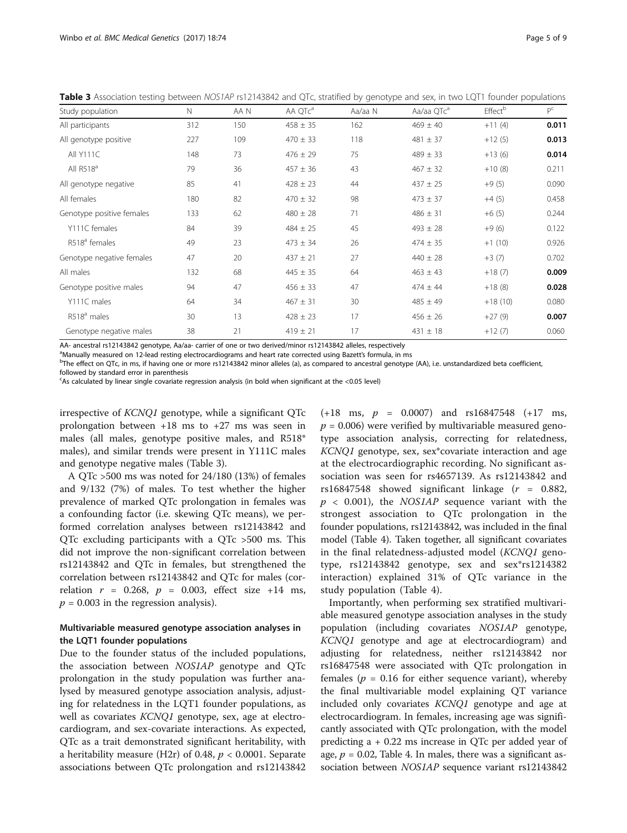| Page 5 of 9 |
|-------------|
|-------------|

| Study population          | $\mathsf{N}$ | AAN | AA QTc <sup>a</sup> | Aa/aa N | Aa/aa QTc <sup>a</sup> | Effect <sup>b</sup> | $P^C$ |
|---------------------------|--------------|-----|---------------------|---------|------------------------|---------------------|-------|
| All participants          | 312          | 150 | $458 \pm 35$        | 162     | $469 \pm 40$           | $+11(4)$            | 0.011 |
| All genotype positive     | 227          | 109 | $470 \pm 33$        | 118     | $481 \pm 37$           | $+12(5)$            | 0.013 |
| <b>All Y111C</b>          | 148          | 73  | $476 \pm 29$        | 75      | $489 \pm 33$           | $+13(6)$            | 0.014 |
| All $R518^a$              | 79           | 36  | $457 \pm 36$        | 43      | $467 \pm 32$           | $+10(8)$            | 0.211 |
| All genotype negative     | 85           | 41  | $428 \pm 23$        | 44      | $437 \pm 25$           | $+9(5)$             | 0.090 |
| All females               | 180          | 82  | $470 \pm 32$        | 98      | $473 \pm 37$           | $+4(5)$             | 0.458 |
| Genotype positive females | 133          | 62  | $480 \pm 28$        | 71      | $486 \pm 31$           | $+6(5)$             | 0.244 |
| Y111C females             | 84           | 39  | $484 \pm 25$        | 45      | $493 \pm 28$           | $+9(6)$             | 0.122 |
| R518 <sup>ª</sup> females | 49           | 23  | $473 \pm 34$        | 26      | $474 \pm 35$           | $+1(10)$            | 0.926 |
| Genotype negative females | 47           | 20  | $437 \pm 21$        | 27      | $440 \pm 28$           | $+3(7)$             | 0.702 |
| All males                 | 132          | 68  | $445 \pm 35$        | 64      | $463 \pm 43$           | $+18(7)$            | 0.009 |
| Genotype positive males   | 94           | 47  | $456 \pm 33$        | 47      | $474 \pm 44$           | $+18(8)$            | 0.028 |
| Y111C males               | 64           | 34  | $467 \pm 31$        | 30      | $485 \pm 49$           | $+18(10)$           | 0.080 |
| R518 <sup>ª</sup> males   | 30           | 13  | $428 \pm 23$        | 17      | $456 \pm 26$           | $+27(9)$            | 0.007 |
| Genotype negative males   | 38           | 21  | $419 \pm 21$        | 17      | $431 \pm 18$           | $+12(7)$            | 0.060 |

<span id="page-4-0"></span>Table 3 Association testing between NOS1AP rs12143842 and QTc, stratified by genotype and sex, in two LQT1 founder populations

AA- ancestral rs12143842 genotype, Aa/aa- carrier of one or two derived/minor rs12143842 alleles, respectively

<sup>a</sup>Manually measured on 12-lead resting electrocardiograms and heart rate corrected using Bazett's formula, in ms<br><sup>b</sup>The effect on OTe in ms if baving one or more re12142842 miner alleles (a) as compared to apsetted genetu

 $b$ The effect on QTc, in ms, if having one or more rs12143842 minor alleles (a), as compared to ancestral genotype (AA), i.e. unstandardized beta coefficient, followed by standard error in parenthesis

As calculated by linear single covariate regression analysis (in bold when significant at the <0.05 level)

irrespective of KCNQ1 genotype, while a significant QTc prolongation between +18 ms to +27 ms was seen in males (all males, genotype positive males, and R518\* males), and similar trends were present in Y111C males and genotype negative males (Table 3).

A QTc >500 ms was noted for 24/180 (13%) of females and 9/132 (7%) of males. To test whether the higher prevalence of marked QTc prolongation in females was a confounding factor (i.e. skewing QTc means), we performed correlation analyses between rs12143842 and QTc excluding participants with a QTc >500 ms. This did not improve the non-significant correlation between rs12143842 and QTc in females, but strengthened the correlation between rs12143842 and QTc for males (correlation  $r = 0.268$ ,  $p = 0.003$ , effect size +14 ms,  $p = 0.003$  in the regression analysis).

## Multivariable measured genotype association analyses in the LQT1 founder populations

Due to the founder status of the included populations, the association between NOS1AP genotype and QTc prolongation in the study population was further analysed by measured genotype association analysis, adjusting for relatedness in the LQT1 founder populations, as well as covariates KCNQ1 genotype, sex, age at electrocardiogram, and sex-covariate interactions. As expected, QTc as a trait demonstrated significant heritability, with a heritability measure (H2r) of 0.48,  $p < 0.0001$ . Separate associations between QTc prolongation and rs12143842

 $(+18 \text{ ms}, p = 0.0007)$  and rs16847548  $(+17 \text{ ms},$  $p = 0.006$ ) were verified by multivariable measured genotype association analysis, correcting for relatedness, KCNQ1 genotype, sex, sex\*covariate interaction and age at the electrocardiographic recording. No significant association was seen for rs4657139. As rs12143842 and rs16847548 showed significant linkage  $(r = 0.882,$  $p \sim 0.001$ ), the *NOS1AP* sequence variant with the strongest association to QTc prolongation in the founder populations, rs12143842, was included in the final model (Table [4\)](#page-5-0). Taken together, all significant covariates in the final relatedness-adjusted model (KCNQ1 genotype, rs12143842 genotype, sex and sex\*rs1214382 interaction) explained 31% of QTc variance in the study population (Table [4\)](#page-5-0).

Importantly, when performing sex stratified multivariable measured genotype association analyses in the study population (including covariates NOS1AP genotype, KCNQ1 genotype and age at electrocardiogram) and adjusting for relatedness, neither rs12143842 nor rs16847548 were associated with QTc prolongation in females ( $p = 0.16$  for either sequence variant), whereby the final multivariable model explaining QT variance included only covariates KCNQ1 genotype and age at electrocardiogram. In females, increasing age was significantly associated with QTc prolongation, with the model predicting a + 0.22 ms increase in QTc per added year of age,  $p = 0.02$ , Table [4.](#page-5-0) In males, there was a significant association between NOS1AP sequence variant rs12143842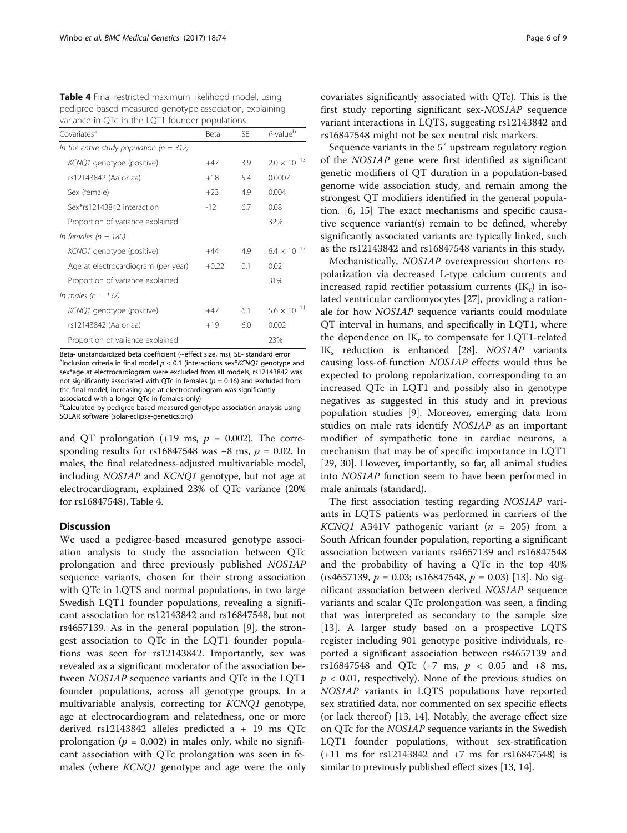<span id="page-5-0"></span>

| <b>Table 4</b> Final restricted maximum likelihood model, using |
|-----------------------------------------------------------------|
| pedigree-based measured genotype association, explaining        |
| variance in QTc in the LQT1 founder populations                 |

| Covariates <sup>a</sup>                      | Beta    | SF. | $P$ -value $b$        |
|----------------------------------------------|---------|-----|-----------------------|
| In the entire study population ( $n = 312$ ) |         |     |                       |
| KCNQ1 genotype (positive)                    | +47     | 3.9 | $2.0 \times 10^{-13}$ |
| rs12143842 (Aa or aa)                        | $+18$   | 5.4 | 0.0007                |
| Sex (female)                                 | $+23$   | 4.9 | 0.004                 |
| Sex*rs12143842 interaction                   | -12     | 6.7 | 0.08                  |
| Proportion of variance explained             |         |     | 32%                   |
| In females ( $n = 180$ )                     |         |     |                       |
| KCNQ1 genotype (positive)                    | $+44$   | 4.9 | $6.4 \times 10^{-17}$ |
| Age at electrocardiogram (per year)          | $+0.22$ | 0.1 | 0.02                  |
| Proportion of variance explained             |         |     | 31%                   |
| In males ( $n = 132$ )                       |         |     |                       |
| KCNQ1 genotype (positive)                    | $+47$   | 6.1 | $5.6 \times 10^{-11}$ |
| rs12143842 (Aa or aa)                        | $+19$   | 6.0 | 0.002                 |
| Proportion of variance explained             |         |     | 23%                   |

Beta- unstandardized beta coefficient (~effect size, ms), SE- standard error <sup>a</sup>Inclusion criteria in final model  $p < 0.1$  (interactions sex\*KCNQ1 genotype and sex\*age at electrocardiogram were excluded from all models, rs12143842 was not significantly associated with QTc in females ( $p = 0.16$ ) and excluded from the final model, increasing age at electrocardiogram was significantly associated with a longer QTc in females only)

<sup>b</sup>Calculated by pedigree-based measured genotype association analysis using SOLAR software (solar-eclipse-genetics.org)

and QT prolongation  $(+19 \text{ ms}, p = 0.002)$ . The corresponding results for rs16847548 was  $+8$  ms,  $p = 0.02$ . In males, the final relatedness-adjusted multivariable model, including NOS1AP and KCNQ1 genotype, but not age at electrocardiogram, explained 23% of QTc variance (20% for rs16847548), Table 4.

#### **Discussion**

We used a pedigree-based measured genotype association analysis to study the association between QTc prolongation and three previously published NOS1AP sequence variants, chosen for their strong association with QTc in LQTS and normal populations, in two large Swedish LQT1 founder populations, revealing a significant association for rs12143842 and rs16847548, but not rs4657139. As in the general population [\[9](#page-7-0)], the strongest association to QTc in the LQT1 founder populations was seen for rs12143842. Importantly, sex was revealed as a significant moderator of the association between NOS1AP sequence variants and QTc in the LQT1 founder populations, across all genotype groups. In a multivariable analysis, correcting for KCNQ1 genotype, age at electrocardiogram and relatedness, one or more derived rs12143842 alleles predicted a + 19 ms QTc prolongation ( $p = 0.002$ ) in males only, while no significant association with QTc prolongation was seen in females (where KCNQ1 genotype and age were the only covariates significantly associated with QTc). This is the first study reporting significant sex-NOS1AP sequence variant interactions in LQTS, suggesting rs12143842 and rs16847548 might not be sex neutral risk markers.

Sequence variants in the 5′ upstream regulatory region of the NOS1AP gene were first identified as significant genetic modifiers of QT duration in a population-based genome wide association study, and remain among the strongest QT modifiers identified in the general population. [\[6](#page-7-0), [15](#page-7-0)] The exact mechanisms and specific causative sequence variant(s) remain to be defined, whereby significantly associated variants are typically linked, such as the rs12143842 and rs16847548 variants in this study.

Mechanistically, NOS1AP overexpression shortens repolarization via decreased L-type calcium currents and increased rapid rectifier potassium currents  $(IK_r)$  in isolated ventricular cardiomyocytes [[27](#page-7-0)], providing a rationale for how NOS1AP sequence variants could modulate QT interval in humans, and specifically in LQT1, where the dependence on  $IK_r$  to compensate for LQT1-related  $IK_s$  reduction is enhanced [\[28](#page-7-0)].  $NOSIAP$  variants causing loss-of-function NOS1AP effects would thus be expected to prolong repolarization, corresponding to an increased QTc in LQT1 and possibly also in genotype negatives as suggested in this study and in previous population studies [[9\]](#page-7-0). Moreover, emerging data from studies on male rats identify NOS1AP as an important modifier of sympathetic tone in cardiac neurons, a mechanism that may be of specific importance in LQT1 [[29, 30](#page-7-0)]. However, importantly, so far, all animal studies into NOS1AP function seem to have been performed in male animals (standard).

The first association testing regarding NOS1AP variants in LQTS patients was performed in carriers of the KCNQ1 A341V pathogenic variant ( $n = 205$ ) from a South African founder population, reporting a significant association between variants rs4657139 and rs16847548 and the probability of having a QTc in the top 40%  $(rs4657139, p = 0.03; rs16847548, p = 0.03)$  [[13\]](#page-7-0). No significant association between derived NOS1AP sequence variants and scalar QTc prolongation was seen, a finding that was interpreted as secondary to the sample size [[13\]](#page-7-0). A larger study based on a prospective LQTS register including 901 genotype positive individuals, reported a significant association between rs4657139 and rs16847548 and QTc (+7 ms,  $p < 0.05$  and +8 ms,  $p < 0.01$ , respectively). None of the previous studies on NOS1AP variants in LQTS populations have reported sex stratified data, nor commented on sex specific effects (or lack thereof)  $[13, 14]$  $[13, 14]$  $[13, 14]$  $[13, 14]$ . Notably, the average effect size on QTc for the NOS1AP sequence variants in the Swedish LQT1 founder populations, without sex-stratification (+11 ms for rs12143842 and +7 ms for rs16847548) is similar to previously published effect sizes [\[13](#page-7-0), [14](#page-7-0)].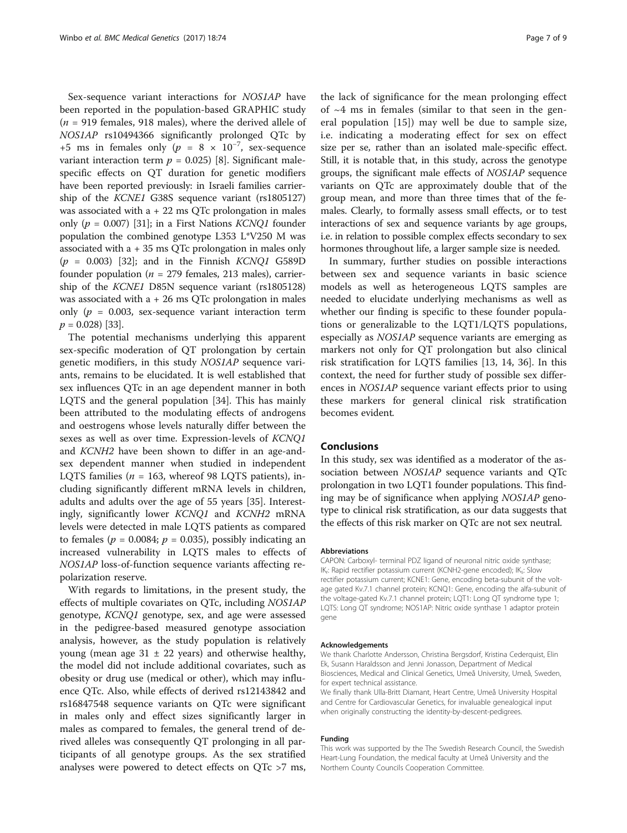Sex-sequence variant interactions for NOS1AP have been reported in the population-based GRAPHIC study  $(n = 919$  females, 918 males), where the derived allele of NOS1AP rs10494366 significantly prolonged QTc by +5 ms in females only  $(p = 8 \times 10^{-7})$ , sex-sequence variant interaction term  $p = 0.025$  [\[8](#page-7-0)]. Significant malespecific effects on QT duration for genetic modifiers have been reported previously: in Israeli families carriership of the KCNE1 G38S sequence variant (rs1805127) was associated with  $a + 22$  ms QTc prolongation in males only ( $p = 0.007$ ) [[31](#page-7-0)]; in a First Nations *KCNQ1* founder population the combined genotype L353 L\*V250 M was associated with  $a + 35$  ms QTc prolongation in males only  $(p = 0.003)$  [[32](#page-8-0)]; and in the Finnish *KCNQ1* G589D founder population ( $n = 279$  females, 213 males), carriership of the KCNE1 D85N sequence variant (rs1805128) was associated with  $a + 26$  ms QTc prolongation in males only ( $p = 0.003$ , sex-sequence variant interaction term  $p = 0.028$  [[33](#page-8-0)].

The potential mechanisms underlying this apparent sex-specific moderation of QT prolongation by certain genetic modifiers, in this study NOS1AP sequence variants, remains to be elucidated. It is well established that sex influences QTc in an age dependent manner in both LQTS and the general population [[34\]](#page-8-0). This has mainly been attributed to the modulating effects of androgens and oestrogens whose levels naturally differ between the sexes as well as over time. Expression-levels of KCNQ1 and KCNH2 have been shown to differ in an age-andsex dependent manner when studied in independent LQTS families ( $n = 163$ , whereof 98 LQTS patients), including significantly different mRNA levels in children, adults and adults over the age of 55 years [\[35](#page-8-0)]. Interestingly, significantly lower KCNQ1 and KCNH2 mRNA levels were detected in male LQTS patients as compared to females ( $p = 0.0084$ ;  $p = 0.035$ ), possibly indicating an increased vulnerability in LQTS males to effects of NOS1AP loss-of-function sequence variants affecting repolarization reserve.

With regards to limitations, in the present study, the effects of multiple covariates on QTc, including NOS1AP genotype, KCNQ1 genotype, sex, and age were assessed in the pedigree-based measured genotype association analysis, however, as the study population is relatively young (mean age  $31 \pm 22$  years) and otherwise healthy, the model did not include additional covariates, such as obesity or drug use (medical or other), which may influence QTc. Also, while effects of derived rs12143842 and rs16847548 sequence variants on QTc were significant in males only and effect sizes significantly larger in males as compared to females, the general trend of derived alleles was consequently QT prolonging in all participants of all genotype groups. As the sex stratified analyses were powered to detect effects on QTc >7 ms,

the lack of significance for the mean prolonging effect of  $~4$  ms in females (similar to that seen in the general population [\[15](#page-7-0)]) may well be due to sample size, i.e. indicating a moderating effect for sex on effect size per se, rather than an isolated male-specific effect. Still, it is notable that, in this study, across the genotype groups, the significant male effects of NOS1AP sequence variants on QTc are approximately double that of the group mean, and more than three times that of the females. Clearly, to formally assess small effects, or to test interactions of sex and sequence variants by age groups, i.e. in relation to possible complex effects secondary to sex hormones throughout life, a larger sample size is needed.

In summary, further studies on possible interactions between sex and sequence variants in basic science models as well as heterogeneous LQTS samples are needed to elucidate underlying mechanisms as well as whether our finding is specific to these founder populations or generalizable to the LQT1/LQTS populations, especially as NOS1AP sequence variants are emerging as markers not only for QT prolongation but also clinical risk stratification for LQTS families [[13, 14](#page-7-0), [36](#page-8-0)]. In this context, the need for further study of possible sex differences in NOS1AP sequence variant effects prior to using these markers for general clinical risk stratification becomes evident.

#### Conclusions

In this study, sex was identified as a moderator of the association between NOS1AP sequence variants and QTc prolongation in two LQT1 founder populations. This finding may be of significance when applying NOS1AP genotype to clinical risk stratification, as our data suggests that the effects of this risk marker on QTc are not sex neutral.

#### Abbreviations

CAPON: Carboxyl- terminal PDZ ligand of neuronal nitric oxide synthase; IK,: Rapid rectifier potassium current (KCNH2-gene encoded); IK,: Slow rectifier potassium current; KCNE1: Gene, encoding beta-subunit of the voltage gated Kv.7.1 channel protein; KCNQ1: Gene, encoding the alfa-subunit of the voltage-gated Kv.7.1 channel protein; LQT1: Long QT syndrome type 1; LQTS: Long QT syndrome; NOS1AP: Nitric oxide synthase 1 adaptor protein gene

#### Acknowledgements

We thank Charlotte Andersson, Christina Bergsdorf, Kristina Cederquist, Elin Ek, Susann Haraldsson and Jenni Jonasson, Department of Medical Biosciences, Medical and Clinical Genetics, Umeå University, Umeå, Sweden, for expert technical assistance.

We finally thank Ulla-Britt Diamant, Heart Centre, Umeå University Hospital and Centre for Cardiovascular Genetics, for invaluable genealogical input when originally constructing the identity-by-descent-pedigrees.

#### Funding

This work was supported by the The Swedish Research Council, the Swedish Heart-Lung Foundation, the medical faculty at Umeå University and the Northern County Councils Cooperation Committee.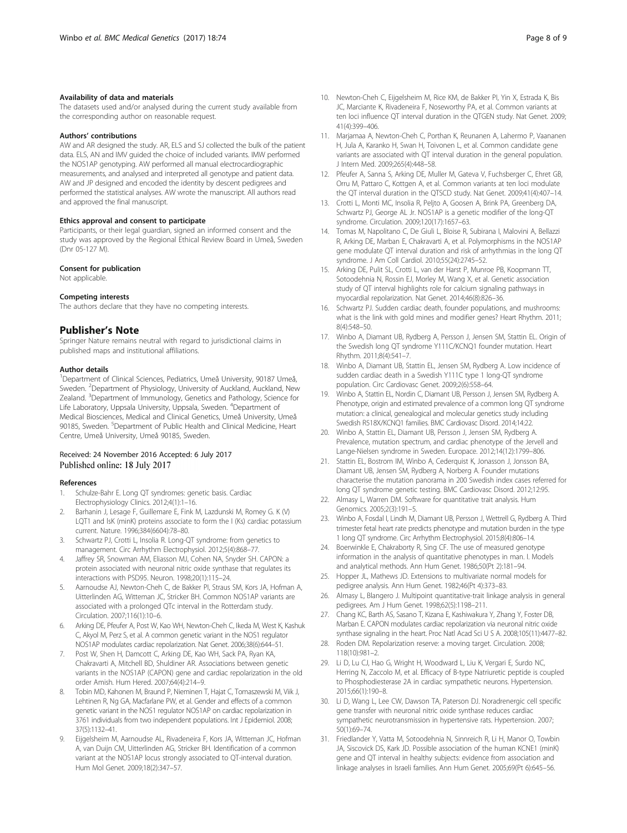#### <span id="page-7-0"></span>Availability of data and materials

The datasets used and/or analysed during the current study available from the corresponding author on reasonable request.

#### Authors' contributions

AW and AR designed the study. AR, ELS and SJ collected the bulk of the patient data. ELS, AN and IMV guided the choice of included variants. IMW performed the NOS1AP genotyping. AW performed all manual electrocardiographic measurements, and analysed and interpreted all genotype and patient data. AW and JP designed and encoded the identity by descent pedigrees and performed the statistical analyses. AW wrote the manuscript. All authors read and approved the final manuscript.

#### Ethics approval and consent to participate

Participants, or their legal guardian, signed an informed consent and the study was approved by the Regional Ethical Review Board in Umeå, Sweden (Dnr 05-127 M).

#### Consent for publication

Not applicable.

#### Competing interests

The authors declare that they have no competing interests.

#### Publisher's Note

Springer Nature remains neutral with regard to jurisdictional claims in published maps and institutional affiliations.

#### Author details

<sup>1</sup>Department of Clinical Sciences, Pediatrics, Umeå University, 90187 Umeå, Sweden. <sup>2</sup>Department of Physiology, University of Auckland, Auckland, New Zealand. <sup>3</sup>Department of Immunology, Genetics and Pathology, Science for Life Laboratory, Uppsala University, Uppsala, Sweden. <sup>4</sup> Department of Medical Biosciences, Medical and Clinical Genetics, Umeå University, Umeå 90185, Sweden. <sup>5</sup>Department of Public Health and Clinical Medicine, Heart Centre, Umeå University, Umeå 90185, Sweden.

#### Received: 24 November 2016 Accepted: 6 July 2017 Published online: 18 July 2017

#### References

- 1. Schulze-Bahr E. Long QT syndromes: genetic basis. Cardiac Electrophysiology Clinics. 2012;4(1):1–16.
- 2. Barhanin J, Lesage F, Guillemare E, Fink M, Lazdunski M, Romey G. K (V) LQT1 and lsK (minK) proteins associate to form the I (Ks) cardiac potassium current. Nature. 1996;384(6604):78–80.
- 3. Schwartz PJ, Crotti L, Insolia R. Long-QT syndrome: from genetics to management. Circ Arrhythm Electrophysiol. 2012;5(4):868–77.
- 4. Jaffrey SR, Snowman AM, Eliasson MJ, Cohen NA, Snyder SH. CAPON: a protein associated with neuronal nitric oxide synthase that regulates its interactions with PSD95. Neuron. 1998;20(1):115–24.
- 5. Aarnoudse AJ, Newton-Cheh C, de Bakker PI, Straus SM, Kors JA, Hofman A, Uitterlinden AG, Witteman JC, Stricker BH. Common NOS1AP variants are associated with a prolonged QTc interval in the Rotterdam study. Circulation. 2007;116(1):10–6.
- 6. Arking DE, Pfeufer A, Post W, Kao WH, Newton-Cheh C, Ikeda M, West K, Kashuk C, Akyol M, Perz S, et al. A common genetic variant in the NOS1 regulator NOS1AP modulates cardiac repolarization. Nat Genet. 2006;38(6):644–51.
- Post W, Shen H, Damcott C, Arking DE, Kao WH, Sack PA, Ryan KA, Chakravarti A, Mitchell BD, Shuldiner AR. Associations between genetic variants in the NOS1AP (CAPON) gene and cardiac repolarization in the old order Amish. Hum Hered. 2007;64(4):214–9.
- 8. Tobin MD, Kahonen M, Braund P, Nieminen T, Hajat C, Tomaszewski M, Viik J, Lehtinen R, Ng GA, Macfarlane PW, et al. Gender and effects of a common genetic variant in the NOS1 regulator NOS1AP on cardiac repolarization in 3761 individuals from two independent populations. Int J Epidemiol. 2008; 37(5):1132–41.
- 9. Eijgelsheim M, Aarnoudse AL, Rivadeneira F, Kors JA, Witteman JC, Hofman A, van Duijn CM, Uitterlinden AG, Stricker BH. Identification of a common variant at the NOS1AP locus strongly associated to QT-interval duration. Hum Mol Genet. 2009;18(2):347–57.
- 10. Newton-Cheh C, Eijgelsheim M, Rice KM, de Bakker PI, Yin X, Estrada K, Bis JC, Marciante K, Rivadeneira F, Noseworthy PA, et al. Common variants at ten loci influence QT interval duration in the QTGEN study. Nat Genet. 2009; 41(4):399–406.
- 11. Marjamaa A, Newton-Cheh C, Porthan K, Reunanen A, Lahermo P, Vaananen H, Jula A, Karanko H, Swan H, Toivonen L, et al. Common candidate gene variants are associated with QT interval duration in the general population. J Intern Med. 2009;265(4):448–58.
- 12. Pfeufer A, Sanna S, Arking DE, Muller M, Gateva V, Fuchsberger C, Ehret GB, Orru M, Pattaro C, Kottgen A, et al. Common variants at ten loci modulate the QT interval duration in the QTSCD study. Nat Genet. 2009;41(4):407–14.
- 13. Crotti L, Monti MC, Insolia R, Peljto A, Goosen A, Brink PA, Greenberg DA, Schwartz PJ, George AL Jr. NOS1AP is a genetic modifier of the long-QT syndrome. Circulation. 2009;120(17):1657–63.
- 14. Tomas M, Napolitano C, De Giuli L, Bloise R, Subirana I, Malovini A, Bellazzi R, Arking DE, Marban E, Chakravarti A, et al. Polymorphisms in the NOS1AP gene modulate QT interval duration and risk of arrhythmias in the long QT syndrome. J Am Coll Cardiol. 2010;55(24):2745–52.
- 15. Arking DE, Pulit SL, Crotti L, van der Harst P, Munroe PB, Koopmann TT, Sotoodehnia N, Rossin EJ, Morley M, Wang X, et al. Genetic association study of QT interval highlights role for calcium signaling pathways in myocardial repolarization. Nat Genet. 2014;46(8):826–36.
- 16. Schwartz PJ. Sudden cardiac death, founder populations, and mushrooms: what is the link with gold mines and modifier genes? Heart Rhythm. 2011; 8(4):548–50.
- 17. Winbo A, Diamant UB, Rydberg A, Persson J, Jensen SM, Stattin EL. Origin of the Swedish long QT syndrome Y111C/KCNQ1 founder mutation. Heart Rhythm. 2011;8(4):541–7.
- 18. Winbo A, Diamant UB, Stattin EL, Jensen SM, Rydberg A. Low incidence of sudden cardiac death in a Swedish Y111C type 1 long-QT syndrome population. Circ Cardiovasc Genet. 2009;2(6):558–64.
- 19. Winbo A, Stattin EL, Nordin C, Diamant UB, Persson J, Jensen SM, Rydberg A. Phenotype, origin and estimated prevalence of a common long QT syndrome mutation: a clinical, genealogical and molecular genetics study including Swedish R518X/KCNQ1 families. BMC Cardiovasc Disord. 2014;14:22.
- 20. Winbo A, Stattin EL, Diamant UB, Persson J, Jensen SM, Rydberg A. Prevalence, mutation spectrum, and cardiac phenotype of the Jervell and Lange-Nielsen syndrome in Sweden. Europace. 2012;14(12):1799–806.
- 21. Stattin EL, Bostrom IM, Winbo A, Cederquist K, Jonasson J, Jonsson BA, Diamant UB, Jensen SM, Rydberg A, Norberg A. Founder mutations characterise the mutation panorama in 200 Swedish index cases referred for long QT syndrome genetic testing. BMC Cardiovasc Disord. 2012;12:95.
- 22. Almasy L, Warren DM. Software for quantitative trait analysis. Hum Genomics. 2005;2(3):191–5.
- 23. Winbo A, Fosdal I, Lindh M, Diamant UB, Persson J, Wettrell G, Rydberg A. Third trimester fetal heart rate predicts phenotype and mutation burden in the type 1 long QT syndrome. Circ Arrhythm Electrophysiol. 2015;8(4):806–14.
- 24. Boerwinkle E, Chakraborty R, Sing CF. The use of measured genotype information in the analysis of quantitative phenotypes in man. I. Models and analytical methods. Ann Hum Genet. 1986;50(Pt 2):181–94.
- 25. Hopper JL, Mathews JD. Extensions to multivariate normal models for pedigree analysis. Ann Hum Genet. 1982;46(Pt 4):373–83.
- 26. Almasy L, Blangero J. Multipoint quantitative-trait linkage analysis in general pedigrees. Am J Hum Genet. 1998;62(5):1198–211.
- 27. Chang KC, Barth AS, Sasano T, Kizana E, Kashiwakura Y, Zhang Y, Foster DB, Marban E. CAPON modulates cardiac repolarization via neuronal nitric oxide synthase signaling in the heart. Proc Natl Acad Sci U S A. 2008;105(11):4477–82.
- 28. Roden DM. Repolarization reserve: a moving target. Circulation. 2008; 118(10):981–2.
- 29. Li D, Lu CJ, Hao G, Wright H, Woodward L, Liu K, Vergari E, Surdo NC, Herring N, Zaccolo M, et al. Efficacy of B-type Natriuretic peptide is coupled to Phosphodiesterase 2A in cardiac sympathetic neurons. Hypertension. 2015;66(1):190–8.
- 30. Li D, Wang L, Lee CW, Dawson TA, Paterson DJ. Noradrenergic cell specific gene transfer with neuronal nitric oxide synthase reduces cardiac sympathetic neurotransmission in hypertensive rats. Hypertension. 2007; 50(1):69–74.
- 31. Friedlander Y, Vatta M, Sotoodehnia N, Sinnreich R, Li H, Manor O, Towbin JA, Siscovick DS, Kark JD. Possible association of the human KCNE1 (minK) gene and QT interval in healthy subjects: evidence from association and linkage analyses in Israeli families. Ann Hum Genet. 2005;69(Pt 6):645–56.